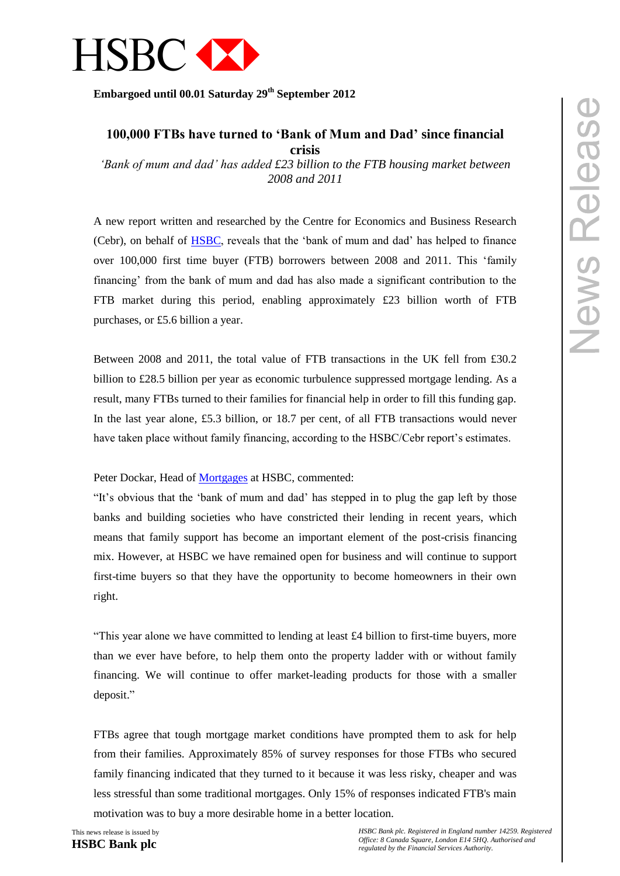

**Embargoed until 00.01 Saturday 29 th September 2012** 

# **100,000 FTBs have turned to 'Bank of Mum and Dad' since financial crisis**

*'Bank of mum and dad' has added £23 billion to the FTB housing market between 2008 and 2011* 

A new report written and researched by the Centre for Economics and Business Research (Cebr), on behalf of [HSBC,](https://mortgages.hsbc.co.uk/) reveals that the 'bank of mum and dad' has helped to finance over 100,000 first time buyer (FTB) borrowers between 2008 and 2011. This 'family financing' from the bank of mum and dad has also made a significant contribution to the FTB market during this period, enabling approximately £23 billion worth of FTB purchases, or £5.6 billion a year.

Between 2008 and 2011, the total value of FTB transactions in the UK fell from £30.2 billion to £28.5 billion per year as economic turbulence suppressed mortgage lending. As a result, many FTBs turned to their families for financial help in order to fill this funding gap. In the last year alone, £5.3 billion, or 18.7 per cent, of all FTB transactions would never have taken place without family financing, according to the HSBC/Cebr report's estimates.

Peter Dockar, Head of [Mortgages](https://mortgages.hsbc.co.uk/) at HSBC, commented:

"It's obvious that the 'bank of mum and dad' has stepped in to plug the gap left by those banks and building societies who have constricted their lending in recent years, which means that family support has become an important element of the post-crisis financing mix. However, at HSBC we have remained open for business and will continue to support first-time buyers so that they have the opportunity to become homeowners in their own right.

"This year alone we have committed to lending at least £4 billion to first-time buyers, more than we ever have before, to help them onto the property ladder with or without family financing. We will continue to offer market-leading products for those with a smaller deposit."

FTBs agree that tough mortgage market conditions have prompted them to ask for help from their families. Approximately 85% of survey responses for those FTBs who secured family financing indicated that they turned to it because it was less risky, cheaper and was less stressful than some traditional mortgages. Only 15% of responses indicated FTB's main motivation was to buy a more desirable home in a better location.

This news release is issued by

**HSBC Bank plc**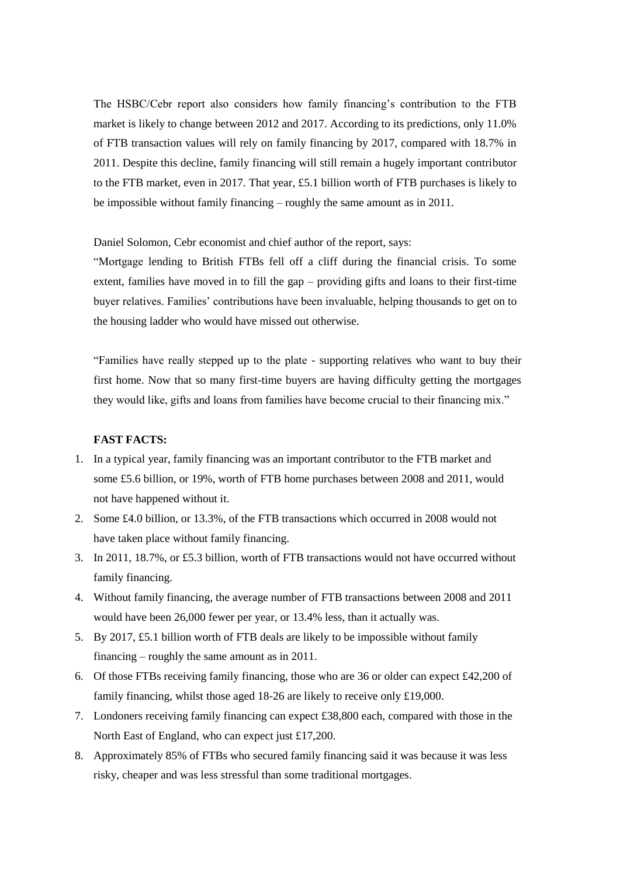The HSBC/Cebr report also considers how family financing's contribution to the FTB market is likely to change between 2012 and 2017. According to its predictions, only 11.0% of FTB transaction values will rely on family financing by 2017, compared with 18.7% in 2011. Despite this decline, family financing will still remain a hugely important contributor to the FTB market, even in 2017. That year, £5.1 billion worth of FTB purchases is likely to be impossible without family financing – roughly the same amount as in 2011.

Daniel Solomon, Cebr economist and chief author of the report, says:

"Mortgage lending to British FTBs fell off a cliff during the financial crisis. To some extent, families have moved in to fill the gap – providing gifts and loans to their first-time buyer relatives. Families' contributions have been invaluable, helping thousands to get on to the housing ladder who would have missed out otherwise.

"Families have really stepped up to the plate - supporting relatives who want to buy their first home. Now that so many first-time buyers are having difficulty getting the mortgages they would like, gifts and loans from families have become crucial to their financing mix."

## **FAST FACTS:**

- 1. In a typical year, family financing was an important contributor to the FTB market and some £5.6 billion, or 19%, worth of FTB home purchases between 2008 and 2011, would not have happened without it.
- 2. Some £4.0 billion, or 13.3%, of the FTB transactions which occurred in 2008 would not have taken place without family financing.
- 3. In 2011, 18.7%, or £5.3 billion, worth of FTB transactions would not have occurred without family financing.
- 4. Without family financing, the average number of FTB transactions between 2008 and 2011 would have been 26,000 fewer per year, or 13.4% less, than it actually was.
- 5. By 2017, £5.1 billion worth of FTB deals are likely to be impossible without family financing – roughly the same amount as in 2011.
- 6. Of those FTBs receiving family financing, those who are 36 or older can expect £42,200 of family financing, whilst those aged 18-26 are likely to receive only £19,000.
- 7. Londoners receiving family financing can expect £38,800 each, compared with those in the North East of England, who can expect just £17,200.
- 8. Approximately 85% of FTBs who secured family financing said it was because it was less risky, cheaper and was less stressful than some traditional mortgages.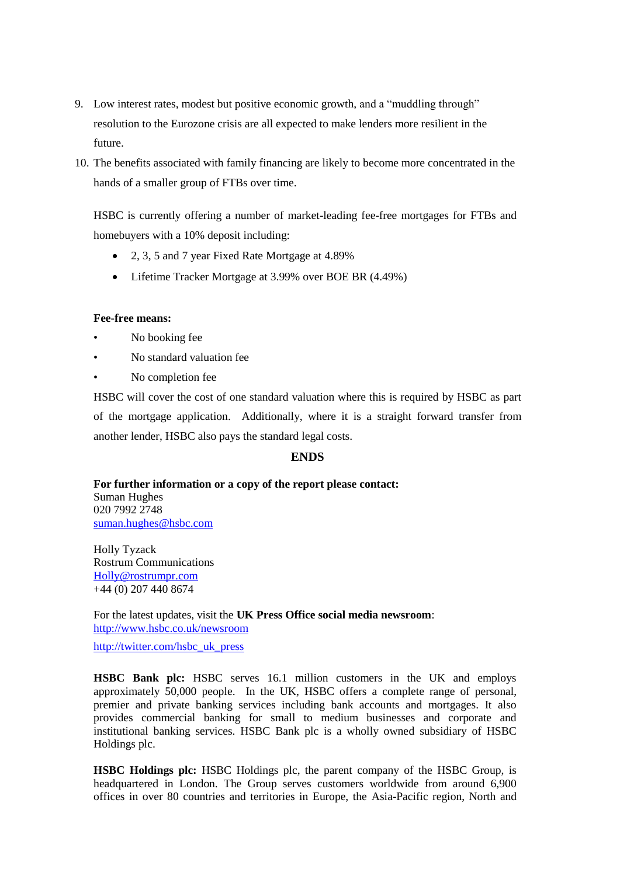- 9. Low interest rates, modest but positive economic growth, and a "muddling through" resolution to the Eurozone crisis are all expected to make lenders more resilient in the future.
- 10. The benefits associated with family financing are likely to become more concentrated in the hands of a smaller group of FTBs over time.

HSBC is currently offering a number of market-leading fee-free mortgages for FTBs and homebuyers with a 10% deposit including:

- 2, 3, 5 and 7 year Fixed Rate Mortgage at 4.89%
- Lifetime Tracker Mortgage at 3.99% over BOE BR (4.49%)

### **Fee-free means:**

- No booking fee
- No standard valuation fee
- No completion fee

HSBC will cover the cost of one standard valuation where this is required by HSBC as part of the mortgage application. Additionally, where it is a straight forward transfer from another lender, HSBC also pays the standard legal costs.

## **ENDS**

### **For further information or a copy of the report please contact:** Suman Hughes 020 7992 2748

[suman.hughes@hsbc.com](mailto:suman.hughes@hsbc.com)

Holly Tyzack Rostrum Communications [Holly@rostrumpr.com](mailto:Holly@rostrumpr.com) +44 (0) 207 440 8674

For the latest updates, visit the **UK Press Office social media newsroom**: <http://www.hsbc.co.uk/newsroom>

[http://twitter.com/hsbc\\_uk\\_press](http://twitter.com/hsbc_uk_press)

**HSBC Bank plc:** HSBC serves 16.1 million customers in the UK and employs approximately 50,000 people. In the UK, HSBC offers a complete range of personal, premier and private banking services including bank accounts and mortgages. It also provides commercial banking for small to medium businesses and corporate and institutional banking services. HSBC Bank plc is a wholly owned subsidiary of HSBC Holdings plc.

**HSBC Holdings plc:** HSBC Holdings plc, the parent company of the HSBC Group, is headquartered in London. The Group serves customers worldwide from around 6,900 offices in over 80 countries and territories in Europe, the Asia-Pacific region, North and